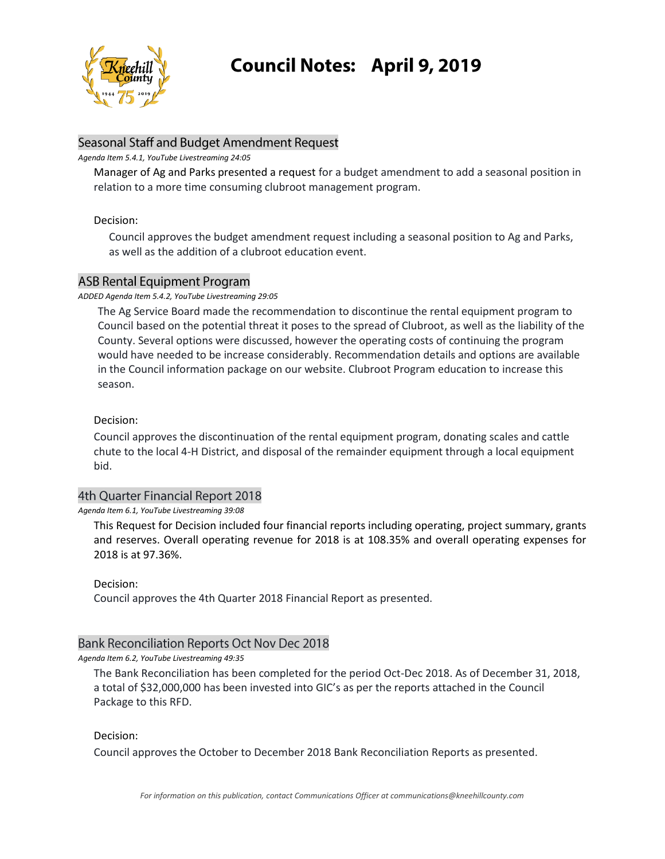

# **Council Notes: April 9, 2019**

# Seasonal Staff and Budget Amendment Request

#### *Agenda Item 5.4.1, YouTube Livestreaming 24:05*

Manager of Ag and Parks presented a request for a budget amendment to add a seasonal position in relation to a more time consuming clubroot management program.

## Decision:

Council approves the budget amendment request including a seasonal position to Ag and Parks, as well as the addition of a clubroot education event.

# **ASB Rental Equipment Program**

### *ADDED Agenda Item 5.4.2, YouTube Livestreaming 29:05*

The Ag Service Board made the recommendation to discontinue the rental equipment program to Council based on the potential threat it poses to the spread of Clubroot, as well as the liability of the County. Several options were discussed, however the operating costs of continuing the program would have needed to be increase considerably. Recommendation details and options are available in the Council information package on our website. Clubroot Program education to increase this season.

# Decision:

Council approves the discontinuation of the rental equipment program, donating scales and cattle chute to the local 4-H District, and disposal of the remainder equipment through a local equipment bid.

# 4th Quarter Financial Report 2018

#### *Agenda Item 6.1, YouTube Livestreaming 39:08*

This Request for Decision included four financial reports including operating, project summary, grants and reserves. Overall operating revenue for 2018 is at 108.35% and overall operating expenses for 2018 is at 97.36%.

Decision:

Council approves the 4th Quarter 2018 Financial Report as presented.

## **Bank Reconciliation Reports Oct Nov Dec 2018**

## *Agenda Item 6.2, YouTube Livestreaming 49:35*

The Bank Reconciliation has been completed for the period Oct-Dec 2018. As of December 31, 2018, a total of \$32,000,000 has been invested into GIC's as per the reports attached in the Council Package to this RFD.

## Decision:

Council approves the October to December 2018 Bank Reconciliation Reports as presented.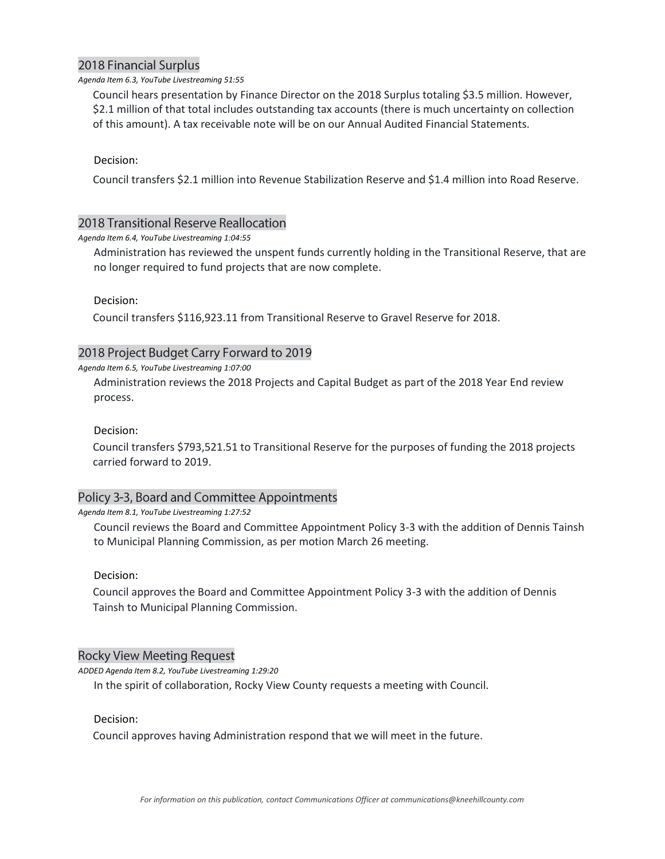# **2018 Financial Surplus**

#### *Agenda Item 6.3, YouTube Livestreaming 51:55*

Council hears presentation by Finance Director on the 2018 Surplus totaling \$3.5 million. However, \$2.1 million of that total includes outstanding tax accounts (there is much uncertainty on collection of this amount). A tax receivable note will be on our Annual Audited Financial Statements.

#### Decision:

Council transfers \$2.1 million into Revenue Stabilization Reserve and \$1.4 million into Road Reserve.

## 2018 Transitional Reserve Reallocation

#### *Agenda Item 6.4, YouTube Livestreaming 1:04:55*

Administration has reviewed the unspent funds currently holding in the Transitional Reserve, that are no longer required to fund projects that are now complete.

Decision:

Council transfers \$116,923.11 from Transitional Reserve to Gravel Reserve for 2018.

# 2018 Project Budget Carry Forward to 2019

#### *Agenda Item 6.5, YouTube Livestreaming 1:07:00*

Administration reviews the 2018 Projects and Capital Budget as part of the 2018 Year End review process.

#### Decision:

Council transfers \$793,521.51 to Transitional Reserve for the purposes of funding the 2018 projects carried forward to 2019.

## Policy 3-3, Board and Committee Appointments

#### *Agenda Item 8.1, YouTube Livestreaming 1:27:52*

Council reviews the Board and Committee Appointment Policy 3-3 with the addition of Dennis Tainsh to Municipal Planning Commission, as per motion March 26 meeting.

#### Decision:

Council approves the Board and Committee Appointment Policy 3-3 with the addition of Dennis Tainsh to Municipal Planning Commission.

## **Rocky View Meeting Request**

*ADDED Agenda Item 8.2, YouTube Livestreaming 1:29:20*

In the spirit of collaboration, Rocky View County requests a meeting with Council.

## Decision:

Council approves having Administration respond that we will meet in the future.